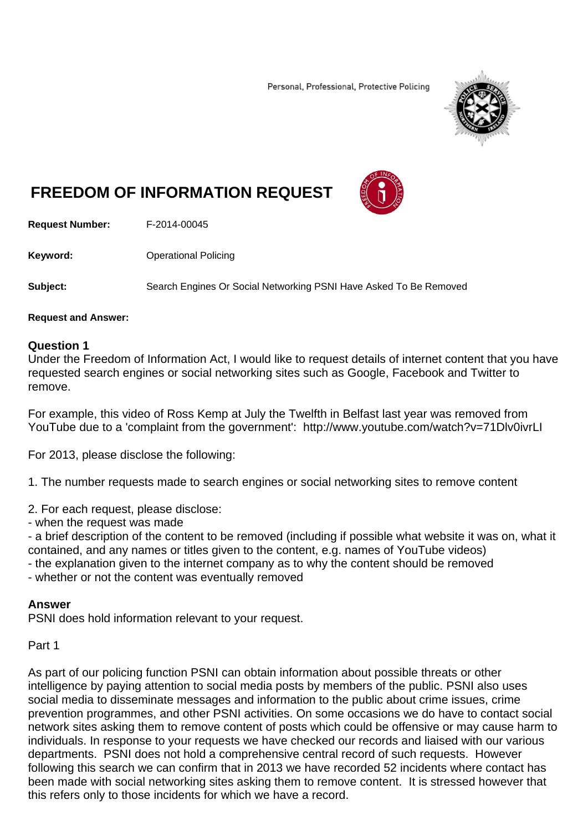Personal, Professional, Protective Policing



# **FREEDOM OF INFORMATION REQUEST**



**Request Number:** F-2014-00045

**Keyword: C**Derational Policing

**Subject:** Search Engines Or Social Networking PSNI Have Asked To Be Removed

#### **Request and Answer:**

#### **Question 1**

Under the Freedom of Information Act, I would like to request details of internet content that you have requested search engines or social networking sites such as Google, Facebook and Twitter to remove.

For example, this video of Ross Kemp at July the Twelfth in Belfast last year was removed from YouTube due to a 'complaint from the government': http://www.youtube.com/watch?v=71Dlv0ivrLI

For 2013, please disclose the following:

1. The number requests made to search engines or social networking sites to remove content

2. For each request, please disclose:

- when the request was made

- a brief description of the content to be removed (including if possible what website it was on, what it contained, and any names or titles given to the content, e.g. names of YouTube videos)

- the explanation given to the internet company as to why the content should be removed
- whether or not the content was eventually removed

### **Answer**

PSNI does hold information relevant to your request.

Part 1

As part of our policing function PSNI can obtain information about possible threats or other intelligence by paying attention to social media posts by members of the public. PSNI also uses social media to disseminate messages and information to the public about crime issues, crime prevention programmes, and other PSNI activities. On some occasions we do have to contact social network sites asking them to remove content of posts which could be offensive or may cause harm to individuals. In response to your requests we have checked our records and liaised with our various departments. PSNI does not hold a comprehensive central record of such requests. However following this search we can confirm that in 2013 we have recorded 52 incidents where contact has been made with social networking sites asking them to remove content. It is stressed however that this refers only to those incidents for which we have a record.